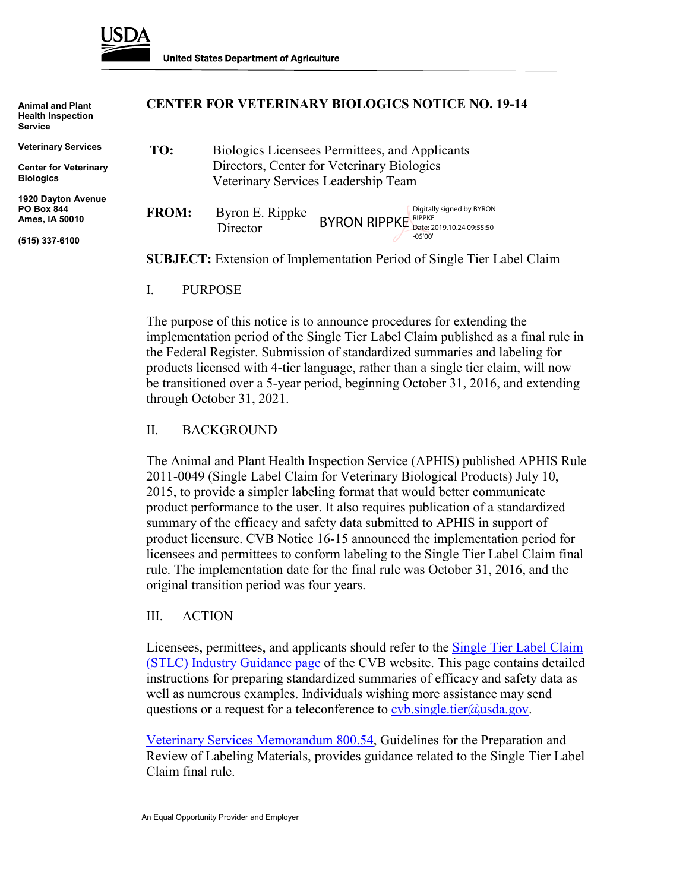

**Animal and Plant Health Inspection Service**

**Veterinary Services**

**Center for Veterinary Biologics**

**1920 Dayton Avenue PO Box 844 Ames, IA 50010**

**(515) 337-6100**

## **CENTER FOR VETERINARY BIOLOGICS NOTICE NO. 19-14**

| TO:          | Biologics Licensees Permittees, and Applicants<br>Directors, Center for Veterinary Biologics<br>Veterinary Services Leadership Team |                                                                                  |
|--------------|-------------------------------------------------------------------------------------------------------------------------------------|----------------------------------------------------------------------------------|
| <b>FROM:</b> | Byron E. Rippke<br>Director                                                                                                         | Digitally signed by BYRON<br>$BYRON$ RIPPKE Date: 2019.10.24 09:55:50<br>-05'00' |

**SUBJECT:** Extension of Implementation Period of Single Tier Label Claim

I. PURPOSE

The purpose of this notice is to announce procedures for extending the implementation period of the Single Tier Label Claim published as a final rule in the Federal Register. Submission of standardized summaries and labeling for products licensed with 4-tier language, rather than a single tier claim, will now be transitioned over a 5-year period, beginning October 31, 2016, and extending through October 31, 2021.

## II. BACKGROUND

The Animal and Plant Health Inspection Service (APHIS) published APHIS Rule 2011-0049 (Single Label Claim for Veterinary Biological Products) July 10, 2015, to provide a simpler labeling format that would better communicate product performance to the user. It also requires publication of a standardized summary of the efficacy and safety data submitted to APHIS in support of product licensure. CVB Notice 16-15 announced the implementation period for licensees and permittees to conform labeling to the Single Tier Label Claim final rule. The implementation date for the final rule was October 31, 2016, and the original transition period was four years.

## III. ACTION

Licensees, permittees, and applicants should refer to the [Single Tier Label Claim](http://www.aphis.usda.gov/aphis/ourfocus/animalhealth/veterinary-biologics/ct_vb_stlc_industry_guidance)  [\(STLC\) Industry Guidance page](http://www.aphis.usda.gov/aphis/ourfocus/animalhealth/veterinary-biologics/ct_vb_stlc_industry_guidance) of the CVB website. This page contains detailed instructions for preparing standardized summaries of efficacy and safety data as well as numerous examples. Individuals wishing more assistance may send questions or a request for a teleconference to <u>cvb.single.tier@usda.gov</u>.

[Veterinary Services Memorandum 800.54,](https://www.aphis.usda.gov/animal_health/vet_biologics/publications/memo_800_54.pdf) Guidelines for the Preparation and Review of Labeling Materials, provides guidance related to the Single Tier Label Claim final rule.